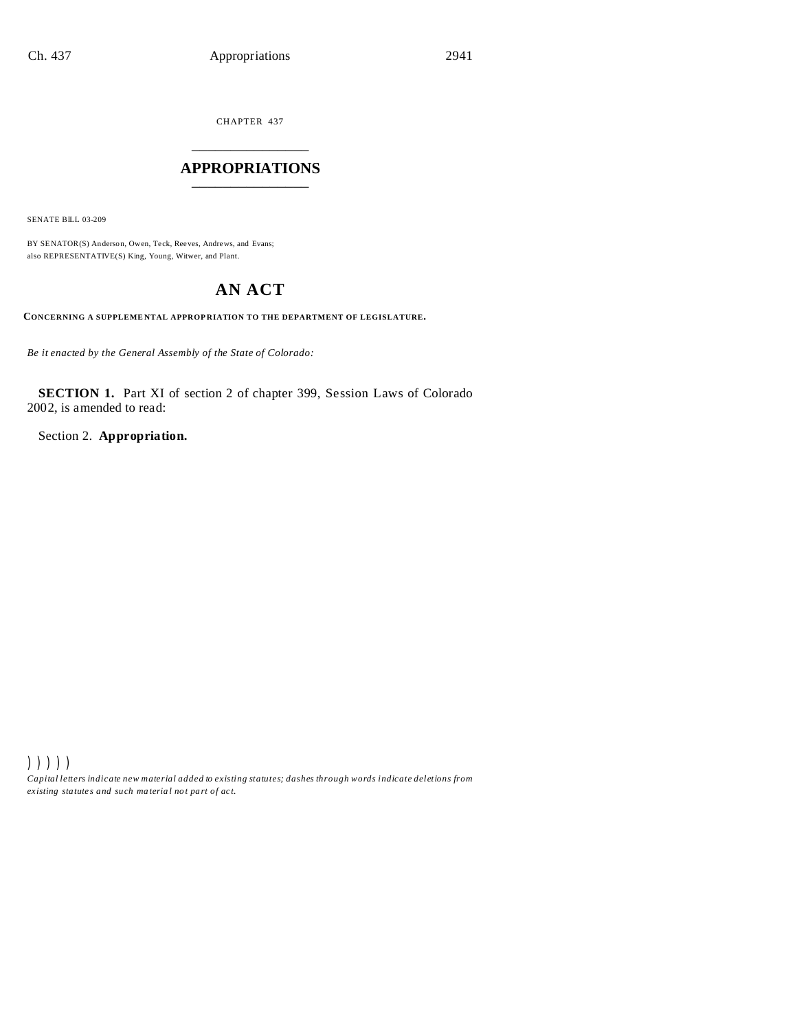CHAPTER 437 \_\_\_\_\_\_\_\_\_\_\_\_\_\_\_

### **APPROPRIATIONS** \_\_\_\_\_\_\_\_\_\_\_\_\_\_\_

SENATE BILL 03-209

BY SENATOR(S) Anderson, Owen, Teck, Reeves, Andrews, and Evans; also REPRESENTATIVE(S) King, Young, Witwer, and Plant.

# **AN ACT**

**CONCERNING A SUPPLEME NTAL APPROP RIATION TO THE DEPARTMENT OF LEGISLATURE.**

*Be it enacted by the General Assembly of the State of Colorado:*

**SECTION 1.** Part XI of section 2 of chapter 399, Session Laws of Colorado 2002, is amended to read:

Section 2. **Appropriation.**

))))) *Capital letters indicate new material added to existing statutes; dashes through words indicate deletions from ex isting statute s and such ma teria l no t pa rt of ac t.*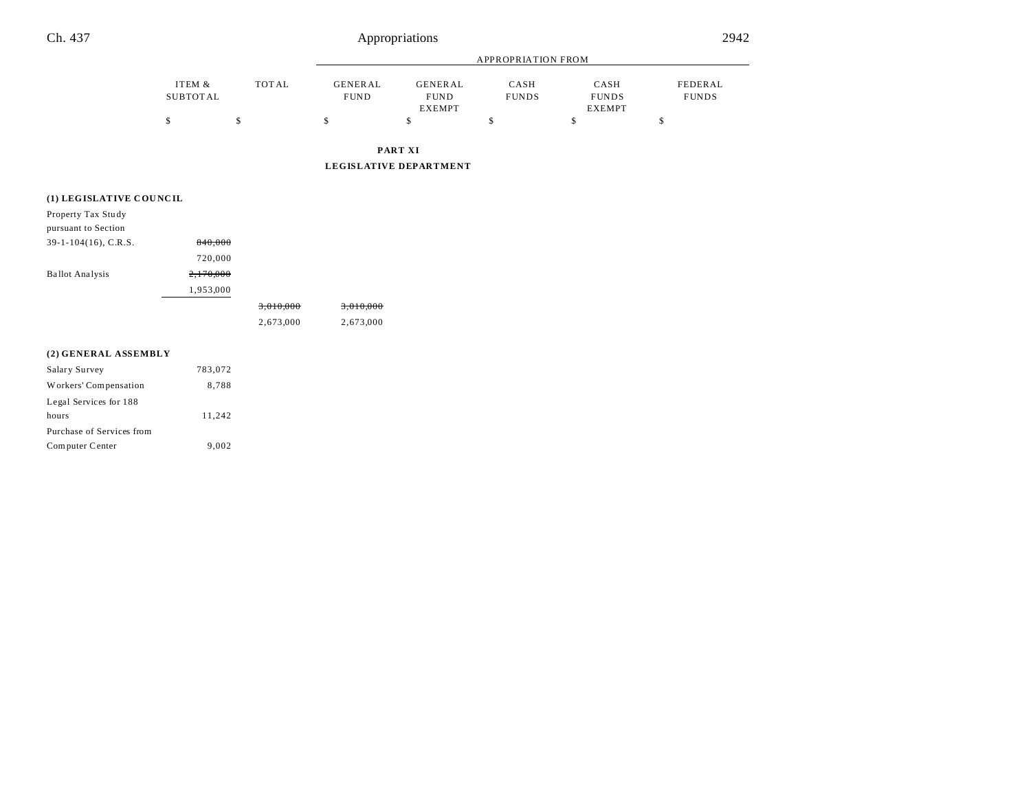## Ch. 437 Appropriations 2942

|                    |       | <b>APPROPRIATION FROM</b>     |                                                |                      |                                       |                         |
|--------------------|-------|-------------------------------|------------------------------------------------|----------------------|---------------------------------------|-------------------------|
| ITEM &<br>SUBTOTAL | TOTAL | <b>GENERAL</b><br><b>FUND</b> | <b>GENERAL</b><br><b>FUND</b><br><b>EXEMPT</b> | CASH<br><b>FUNDS</b> | CASH<br><b>FUNDS</b><br><b>EXEMPT</b> | FEDERAL<br><b>FUNDS</b> |
| \$                 | \$    | \$                            | D                                              | \$                   | \$                                    | \$                      |
|                    |       |                               | PART XI<br>LEGISLATIVE DEPARTMENT              |                      |                                       |                         |

### **(1) LEGISLATIVE COU NC IL**

hours 11,242

Computer Center 9,002

Purchase of Services from

| Property Tax Study      |           |                      |                      |
|-------------------------|-----------|----------------------|----------------------|
| pursuant to Section     |           |                      |                      |
| $39-1-104(16)$ , C.R.S. | 840,000   |                      |                      |
|                         | 720,000   |                      |                      |
| <b>Ballot Analysis</b>  | 2,170,000 |                      |                      |
|                         | 1,953,000 |                      |                      |
|                         |           | <del>3,010,000</del> | <del>3,010,000</del> |
|                         |           | 2,673,000            | 2,673,000            |
| (2) GENERAL ASSEMBLY    |           |                      |                      |
| Salary Survey           | 783,072   |                      |                      |
| Workers' Compensation   | 8,788     |                      |                      |
| Legal Services for 188  |           |                      |                      |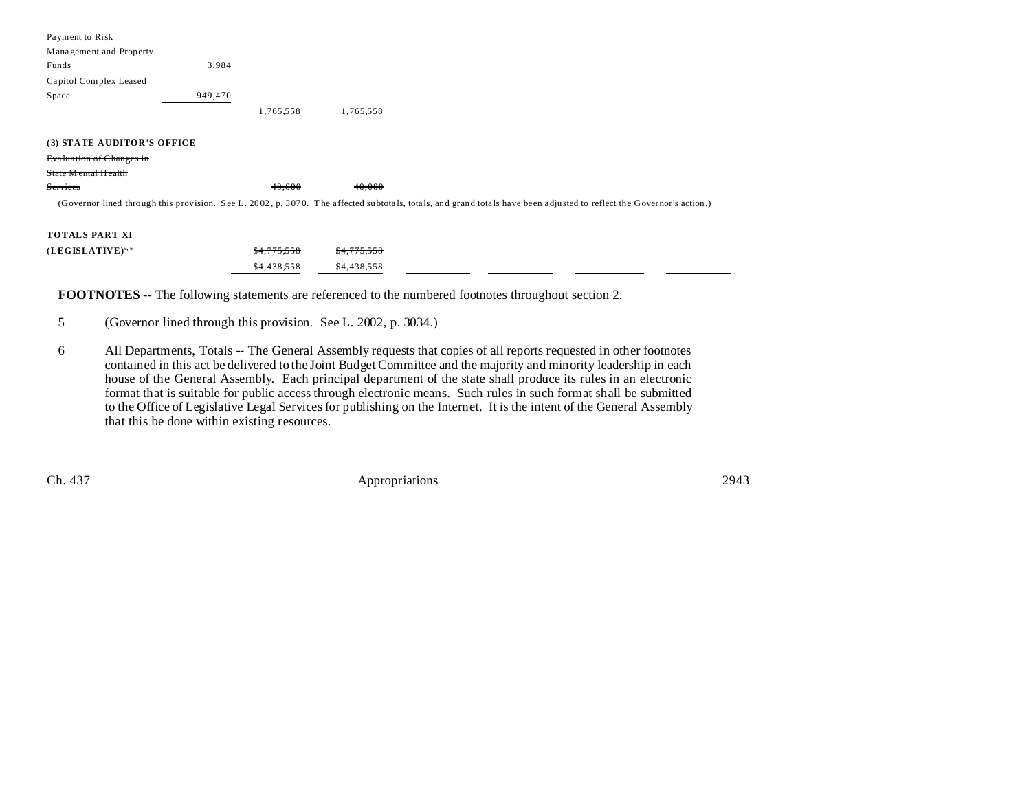| Payment to Risk                                                                                                                                                      |         |           |           |  |  |
|----------------------------------------------------------------------------------------------------------------------------------------------------------------------|---------|-----------|-----------|--|--|
| Management and Property                                                                                                                                              |         |           |           |  |  |
| Funds                                                                                                                                                                | 3,984   |           |           |  |  |
| Capitol Complex Leased                                                                                                                                               |         |           |           |  |  |
| Space                                                                                                                                                                | 949,470 |           |           |  |  |
|                                                                                                                                                                      |         | 1,765,558 | 1,765,558 |  |  |
|                                                                                                                                                                      |         |           |           |  |  |
| (3) STATE AUDITOR'S OFFICE                                                                                                                                           |         |           |           |  |  |
| <b>Evaluation of Changes in</b>                                                                                                                                      |         |           |           |  |  |
| State Mental Health                                                                                                                                                  |         |           |           |  |  |
| Services                                                                                                                                                             |         | 40.000    | 40.000    |  |  |
| (Governor lined through this provision. See L. 2002, p. 3070. The affected subtotals, totals, and grand totals have been adjusted to reflect the Governor's action.) |         |           |           |  |  |
|                                                                                                                                                                      |         |           |           |  |  |
| <b>TOTALS PART XI</b>                                                                                                                                                |         |           |           |  |  |

| $(LEGISLATIVE)^{5, 6}$ | <del>\$4,775,558</del> \$4,775,558 |  |  |  |
|------------------------|------------------------------------|--|--|--|
|                        | \$4,438,558 \$4,438,558            |  |  |  |

**FOOTNOTES** -- The following statements are referenced to the numbered footnotes throughout section 2.

- 5 (Governor lined through this provision. See L. 2002, p. 3034.)
- 6 All Departments, Totals -- The General Assembly requests that copies of all reports requested in other footnotes contained in this act be delivered to the Joint Budget Committee and the majority and minority leadership in each house of the General Assembly. Each principal department of the state shall produce its rules in an electronic format that is suitable for public access through electronic means. Such rules in such format shall be submitted to the Office of Legislative Legal Services for publishing on the Internet. It is the intent of the General Assembly that this be done within existing resources.

Ch. 437 Appropriations 2943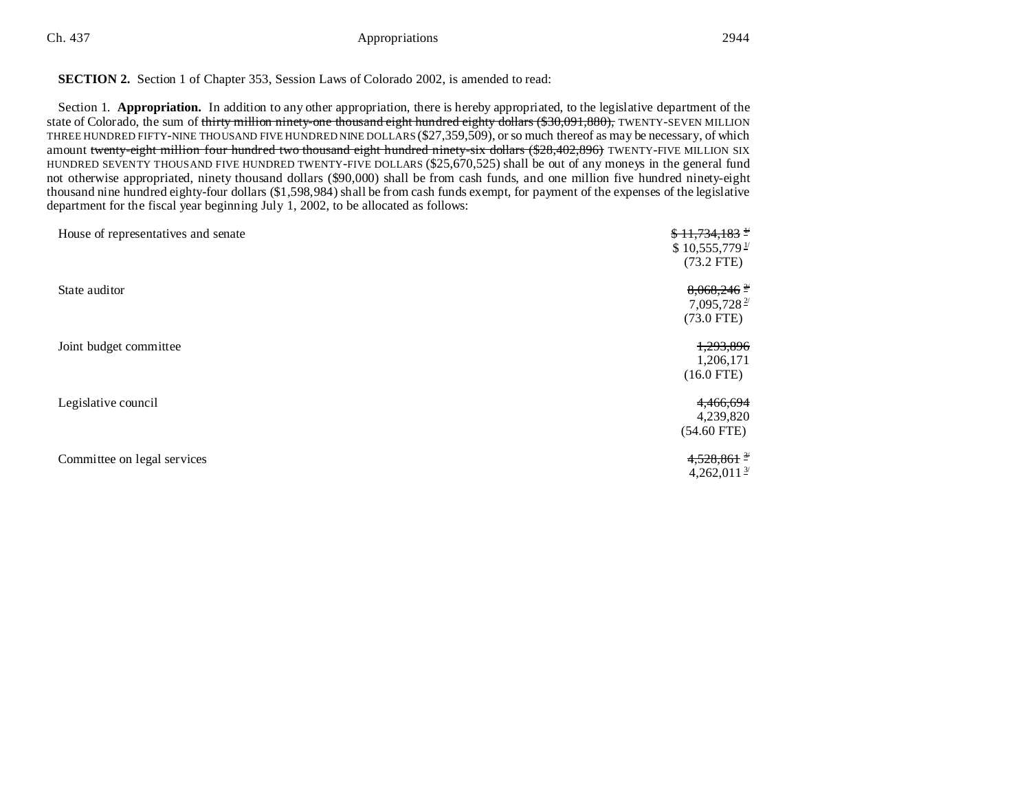Ch. 437 **Appropriations** 2944

#### **SECTION 2.** Section 1 of Chapter 353, Session Laws of Colorado 2002, is amended to read:

Section 1. **Appropriation.** In addition to any other appropriation, there is hereby appropriated, to the legislative department of the state of Colorado, the sum of thirty million ninety-one thousand eight hundred eighty dollars (\$30,091,880), TWENTY-SEVEN MILLION THREE HUNDRED FIFTY-NINE THOUSAND FIVE HUNDRED NINE DOLLARS (\$27,359,509), or so much thereof as may be necessary, of which amount twenty-eight million four hundred two thousand eight hundred ninety-six dollars (\$28,402,896) TWENTY-FIVE MILLION SIX HUNDRED SEVENTY THOUSAND FIVE HUNDRED TWENTY-FIVE DOLLARS (\$25,670,525) shall be out of any moneys in the general fund not otherwise appropriated, ninety thousand dollars (\$90,000) shall be from cash funds, and one million five hundred ninety-eight thousand nine hundred eighty-four dollars (\$1,598,984) shall be from cash funds exempt, for payment of the expenses of the legislative department for the fiscal year beginning July 1, 2002, to be allocated as follows:

| House of representatives and senate | $$11,734,183$ $^{\frac{1}{2}}$<br>$$10,555,779$ <sup>1/</sup><br>$(73.2$ FTE) |
|-------------------------------------|-------------------------------------------------------------------------------|
| State auditor                       | $8,068,246$ <sup>2</sup><br>7,095,728 $\frac{2}{3}$<br>$(73.0$ FTE)           |
| Joint budget committee              | 1,293,896<br>1,206,171<br>$(16.0$ FTE)                                        |
| Legislative council                 | 4,466,694<br>4,239,820<br>$(54.60$ FTE)                                       |
| Committee on legal services         | $4,528,861$ $\frac{34}{2}$<br>4,262,011 $\frac{3}{2}$                         |